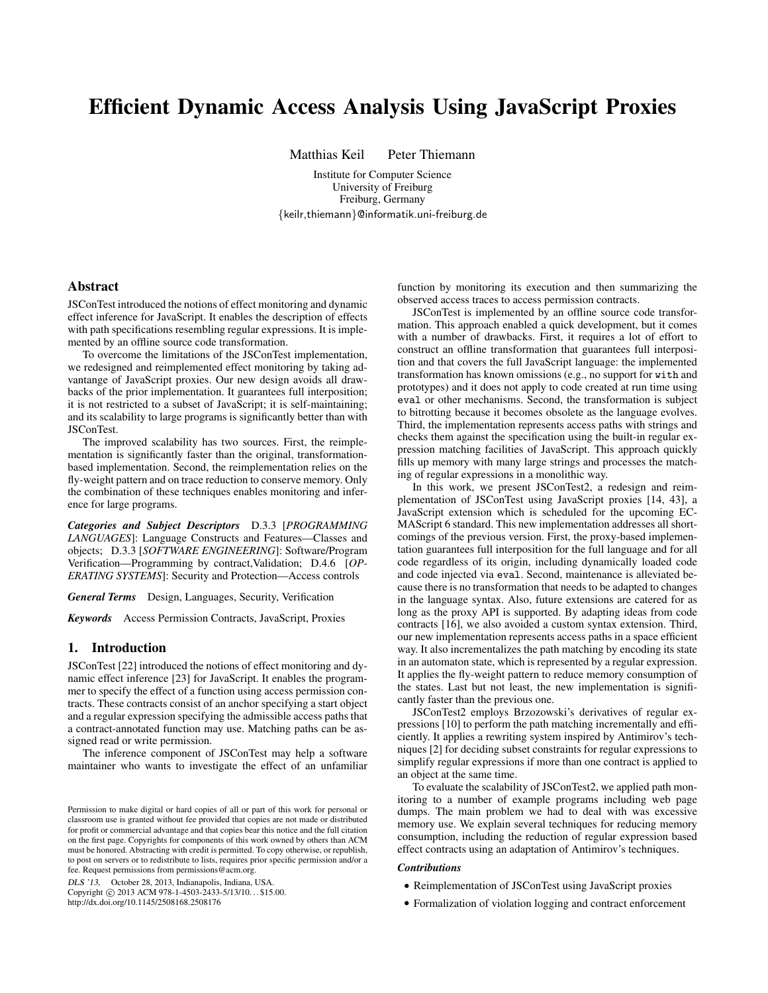# Efficient Dynamic Access Analysis Using JavaScript Proxies

Matthias Keil Peter Thiemann

Institute for Computer Science University of Freiburg Freiburg, Germany {keilr,thiemann}@informatik.uni-freiburg.de

# Abstract

JSConTest introduced the notions of effect monitoring and dynamic effect inference for JavaScript. It enables the description of effects with path specifications resembling regular expressions. It is implemented by an offline source code transformation.

To overcome the limitations of the JSConTest implementation, we redesigned and reimplemented effect monitoring by taking advantange of JavaScript proxies. Our new design avoids all drawbacks of the prior implementation. It guarantees full interposition; it is not restricted to a subset of JavaScript; it is self-maintaining; and its scalability to large programs is significantly better than with JSConTest.

The improved scalability has two sources. First, the reimplementation is significantly faster than the original, transformationbased implementation. Second, the reimplementation relies on the fly-weight pattern and on trace reduction to conserve memory. Only the combination of these techniques enables monitoring and inference for large programs.

*Categories and Subject Descriptors* D.3.3 [*PROGRAMMING LANGUAGES*]: Language Constructs and Features—Classes and objects; D.3.3 [*SOFTWARE ENGINEERING*]: Software/Program Verification—Programming by contract,Validation; D.4.6 [*OP-ERATING SYSTEMS*]: Security and Protection—Access controls

*General Terms* Design, Languages, Security, Verification

*Keywords* Access Permission Contracts, JavaScript, Proxies

# 1. Introduction

JSConTest [22] introduced the notions of effect monitoring and dynamic effect inference [23] for JavaScript. It enables the programmer to specify the effect of a function using access permission contracts. These contracts consist of an anchor specifying a start object and a regular expression specifying the admissible access paths that a contract-annotated function may use. Matching paths can be assigned read or write permission.

The inference component of JSConTest may help a software maintainer who wants to investigate the effect of an unfamiliar

DLS '13, October 28, 2013, Indianapolis, Indiana, USA.

Copyright © 2013 ACM 978-1-4503-2433-5/13/10... \$15.00. http://dx.doi.org/10.1145/2508168.2508176

function by monitoring its execution and then summarizing the observed access traces to access permission contracts.

JSConTest is implemented by an offline source code transformation. This approach enabled a quick development, but it comes with a number of drawbacks. First, it requires a lot of effort to construct an offline transformation that guarantees full interposition and that covers the full JavaScript language: the implemented transformation has known omissions (e.g., no support for with and prototypes) and it does not apply to code created at run time using eval or other mechanisms. Second, the transformation is subject to bitrotting because it becomes obsolete as the language evolves. Third, the implementation represents access paths with strings and checks them against the specification using the built-in regular expression matching facilities of JavaScript. This approach quickly fills up memory with many large strings and processes the matching of regular expressions in a monolithic way.

In this work, we present JSConTest2, a redesign and reimplementation of JSConTest using JavaScript proxies [14, 43], a JavaScript extension which is scheduled for the upcoming EC-MAScript 6 standard. This new implementation addresses all shortcomings of the previous version. First, the proxy-based implementation guarantees full interposition for the full language and for all code regardless of its origin, including dynamically loaded code and code injected via eval. Second, maintenance is alleviated because there is no transformation that needs to be adapted to changes in the language syntax. Also, future extensions are catered for as long as the proxy API is supported. By adapting ideas from code contracts [16], we also avoided a custom syntax extension. Third, our new implementation represents access paths in a space efficient way. It also incrementalizes the path matching by encoding its state in an automaton state, which is represented by a regular expression. It applies the fly-weight pattern to reduce memory consumption of the states. Last but not least, the new implementation is significantly faster than the previous one.

JSConTest2 employs Brzozowski's derivatives of regular expressions [10] to perform the path matching incrementally and efficiently. It applies a rewriting system inspired by Antimirov's techniques [2] for deciding subset constraints for regular expressions to simplify regular expressions if more than one contract is applied to an object at the same time.

To evaluate the scalability of JSConTest2, we applied path monitoring to a number of example programs including web page dumps. The main problem we had to deal with was excessive memory use. We explain several techniques for reducing memory consumption, including the reduction of regular expression based effect contracts using an adaptation of Antimirov's techniques.

#### *Contributions*

- Reimplementation of JSConTest using JavaScript proxies
- Formalization of violation logging and contract enforcement

Permission to make digital or hard copies of all or part of this work for personal or classroom use is granted without fee provided that copies are not made or distributed for profit or commercial advantage and that copies bear this notice and the full citation on the first page. Copyrights for components of this work owned by others than ACM must be honored. Abstracting with credit is permitted. To copy otherwise, or republish, to post on servers or to redistribute to lists, requires prior specific permission and/or a fee. Request permissions from permissions@acm.org.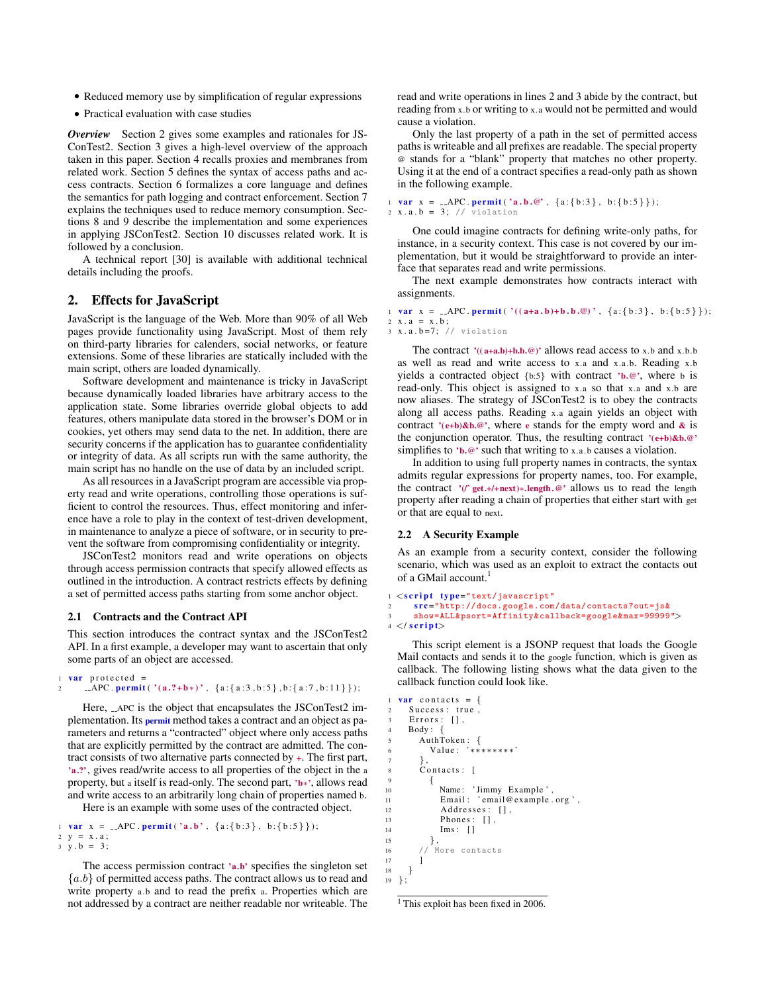- Reduced memory use by simplification of regular expressions
- Practical evaluation with case studies

*Overview* Section 2 gives some examples and rationales for JS-ConTest2. Section 3 gives a high-level overview of the approach taken in this paper. Section 4 recalls proxies and membranes from related work. Section 5 defines the syntax of access paths and access contracts. Section 6 formalizes a core language and defines the semantics for path logging and contract enforcement. Section 7 explains the techniques used to reduce memory consumption. Sections 8 and 9 describe the implementation and some experiences in applying JSConTest2. Section 10 discusses related work. It is followed by a conclusion.

A technical report [30] is available with additional technical details including the proofs.

# 2. Effects for JavaScript

JavaScript is the language of the Web. More than 90% of all Web pages provide functionality using JavaScript. Most of them rely on third-party libraries for calenders, social networks, or feature extensions. Some of these libraries are statically included with the main script, others are loaded dynamically.

Software development and maintenance is tricky in JavaScript because dynamically loaded libraries have arbitrary access to the application state. Some libraries override global objects to add features, others manipulate data stored in the browser's DOM or in cookies, yet others may send data to the net. In addition, there are security concerns if the application has to guarantee confidentiality or integrity of data. As all scripts run with the same authority, the main script has no handle on the use of data by an included script.

As all resources in a JavaScript program are accessible via property read and write operations, controlling those operations is sufficient to control the resources. Thus, effect monitoring and inference have a role to play in the context of test-driven development, in maintenance to analyze a piece of software, or in security to prevent the software from compromising confidentiality or integrity.

JSConTest2 monitors read and write operations on objects through access permission contracts that specify allowed effects as outlined in the introduction. A contract restricts effects by defining a set of permitted access paths starting from some anchor object.

#### 2.1 Contracts and the Contract API

This section introduces the contract syntax and the JSConTest2 API. In a first example, a developer may want to ascertain that only some parts of an object are accessed.

```
var protected =
2 APC . permit (' (a. ? + b*)', {a: {a: 3, b: 5}, b: {a: 7, b: 11}});
```
Here, \_\_APC is the object that encapsulates the JSConTest2 implementation. Its **permit** method takes a contract and an object as parameters and returns a "contracted" object where only access paths that are explicitly permitted by the contract are admitted. The contract consists of two alternative parts connected by +. The first part, 'a.?', gives read/write access to all properties of the object in the a property, but a itself is read-only. The second part, 'b∗', allows read and write access to an arbitrarily long chain of properties named b. Here is an example with some uses of the contracted object.

1 var  $x = -APC$ . permit ('a.b', {a:{b:3}, b:{b:5}});

```
2 \quad V = X . a ;3 \text{ } y \text{ . } b = 3;
```
The access permission contract 'a.b' specifies the singleton set  ${a.b}$  of permitted access paths. The contract allows us to read and write property a.b and to read the prefix a. Properties which are not addressed by a contract are neither readable nor writeable. The

read and write operations in lines 2 and 3 abide by the contract, but reading from x.b or writing to x.a would not be permitted and would cause a violation.

Only the last property of a path in the set of permitted access paths is writeable and all prefixes are readable. The special property @ stands for a "blank" property that matches no other property. Using it at the end of a contract specifies a read-only path as shown in the following example.

# 1 var  $x = -APC$ . permit ('a.b.@', {a:{b:3}, b:{b:5}}); 2  $x.a.b = 3; // violation$

One could imagine contracts for defining write-only paths, for instance, in a security context. This case is not covered by our implementation, but it would be straightforward to provide an interface that separates read and write permissions.

The next example demonstrates how contracts interact with assignments.

# 1 **var**  $x = \text{APC}.$  **permit** ( ' (  $(a+a.b)+b.b.\emptyset$  )',  $\{a:\{b:3\}, b:\{b:5\}\})$ ;  $2 x . a = x . b$ ;

 $3 \times a.b = 7;$  // violation

The contract  $'((a+a.b)+b.b.\omega)'$  allows read access to x.b and x.b.b as well as read and write access to x.a and x.a. b. Reading x.b yields a contracted object  ${b:5}$  with contract 'b.@', where b is read-only. This object is assigned to x.a so that x.a and x.b are now aliases. The strategy of JSConTest2 is to obey the contracts along all access paths. Reading x.a again yields an object with contract '( $e+b$ )&b.@', where e stands for the empty word and & is the conjunction operator. Thus, the resulting contract  $(e+b)\&b.\&b$ . simplifies to 'b.@' such that writing to x.a.b causes a violation.

In addition to using full property names in contracts, the syntax admits regular expressions for property names, too. For example, the contract '(/ˆ get.+/+next)∗.length.@' allows us to read the length property after reading a chain of properties that either start with get or that are equal to next.

# 2.2 A Security Example

As an example from a security context, consider the following scenario, which was used as an exploit to extract the contacts out of a GMail account.<sup>1</sup>

```
<script type="text/javascript"
2 src="http://docs.google.com/data/contacts?out=js&
     3 show=ALL&psort=Affinity&callback=google&max =99999">
 \langle/script\rangle
```
This script element is a JSONP request that loads the Google Mail contacts and sends it to the google function, which is given as callback. The following listing shows what the data given to the callback function could look like.

```
1 var contacts = \{2 Success: true,
     \text{Errors}: \;\;[\;] ,
     Body: \{AuthToken: {
          Value: '********'
        7 } ,
        Contacts: [
9 {
10 Name: 'Jimmy Example',
11 Email: 'email@example.org',
12 Addresses: [],
13 Phones: [],
\begin{array}{ccc} 14 & & \text{Im } s : & [] \\ 15 & & \end{array}15 },
16 // More contacts
\begin{matrix} 18 \\ 19 \end{matrix} };
  19 };
```
17 ]

<sup>&</sup>lt;sup>1</sup> This exploit has been fixed in 2006.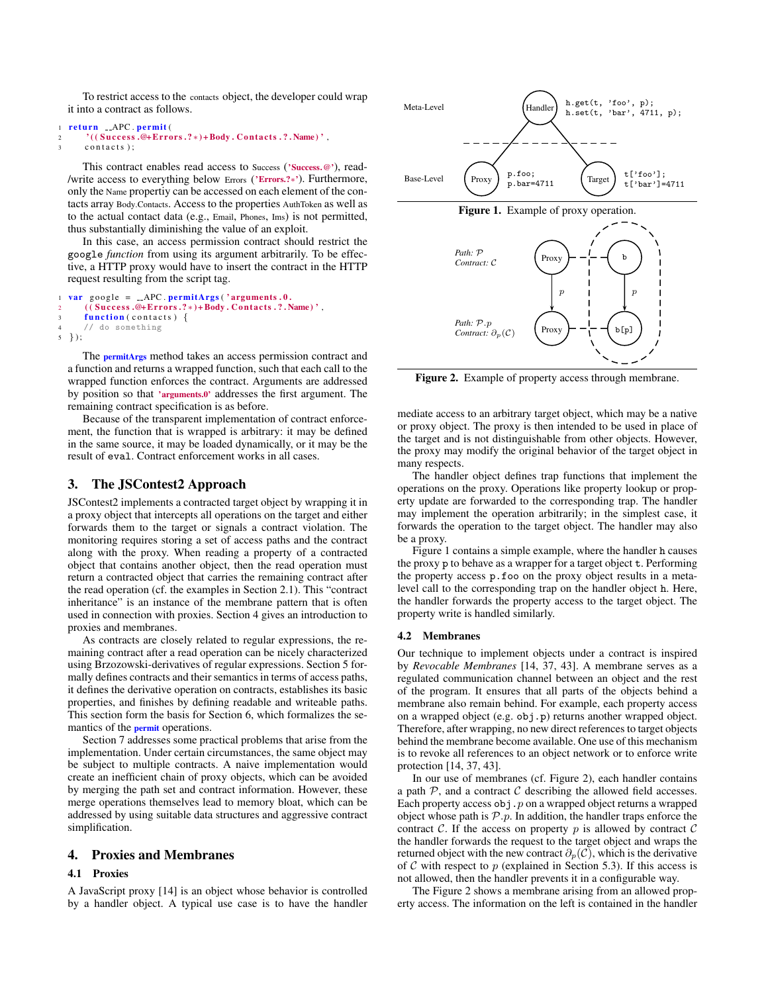To restrict access to the contacts object, the developer could wrap it into a contract as follows.

```
1 return __APC.permit(
      2^{\prime} ( ( Success .@+Errors .?*) + Body . Contacts .?. Name)',
3 contacts);
```
This contract enables read access to Success ('Success.@'), read- /write access to everything below Errors ('Errors.?∗'). Furthermore, only the Name propertiy can be accessed on each element of the contacts array Body.Contacts. Access to the properties AuthToken as well as to the actual contact data (e.g., Email, Phones, Ims) is not permitted, thus substantially diminishing the value of an exploit.

In this case, an access permission contract should restrict the google *function* from using its argument arbitrarily. To be effective, a HTTP proxy would have to insert the contract in the HTTP request resulting from the script tag.

```
var google = \_APC. permitArgs ('arguments.0.
      2 ( Success .@+Errors .?*) + Body . Contacts .?. Name)',
      function (constants) {
      // do something
5 \}:
```
The **permitArgs** method takes an access permission contract and a function and returns a wrapped function, such that each call to the wrapped function enforces the contract. Arguments are addressed by position so that 'arguments.0' addresses the first argument. The remaining contract specification is as before.

Because of the transparent implementation of contract enforcement, the function that is wrapped is arbitrary: it may be defined in the same source, it may be loaded dynamically, or it may be the result of eval. Contract enforcement works in all cases.

# 3. The JSContest2 Approach

JSContest2 implements a contracted target object by wrapping it in a proxy object that intercepts all operations on the target and either forwards them to the target or signals a contract violation. The monitoring requires storing a set of access paths and the contract along with the proxy. When reading a property of a contracted object that contains another object, then the read operation must return a contracted object that carries the remaining contract after the read operation (cf. the examples in Section 2.1). This "contract inheritance" is an instance of the membrane pattern that is often used in connection with proxies. Section 4 gives an introduction to proxies and membranes.

As contracts are closely related to regular expressions, the remaining contract after a read operation can be nicely characterized using Brzozowski-derivatives of regular expressions. Section 5 formally defines contracts and their semantics in terms of access paths, it defines the derivative operation on contracts, establishes its basic properties, and finishes by defining readable and writeable paths. This section form the basis for Section 6, which formalizes the semantics of the permit operations.

Section 7 addresses some practical problems that arise from the implementation. Under certain circumstances, the same object may be subject to multiple contracts. A naive implementation would create an inefficient chain of proxy objects, which can be avoided by merging the path set and contract information. However, these merge operations themselves lead to memory bloat, which can be addressed by using suitable data structures and aggressive contract simplification.

# 4. Proxies and Membranes

# 4.1 Proxies

A JavaScript proxy [14] is an object whose behavior is controlled by a handler object. A typical use case is to have the handler



Figure 2. Example of property access through membrane.

mediate access to an arbitrary target object, which may be a native or proxy object. The proxy is then intended to be used in place of the target and is not distinguishable from other objects. However, the proxy may modify the original behavior of the target object in many respects.

The handler object defines trap functions that implement the operations on the proxy. Operations like property lookup or property update are forwarded to the corresponding trap. The handler may implement the operation arbitrarily; in the simplest case, it forwards the operation to the target object. The handler may also be a proxy.

Figure 1 contains a simple example, where the handler h causes the proxy p to behave as a wrapper for a target object t. Performing the property access p.foo on the proxy object results in a metalevel call to the corresponding trap on the handler object h. Here, the handler forwards the property access to the target object. The property write is handled similarly.

## 4.2 Membranes

Our technique to implement objects under a contract is inspired by *Revocable Membranes* [14, 37, 43]. A membrane serves as a regulated communication channel between an object and the rest of the program. It ensures that all parts of the objects behind a membrane also remain behind. For example, each property access on a wrapped object (e.g. obj.p) returns another wrapped object. Therefore, after wrapping, no new direct references to target objects behind the membrane become available. One use of this mechanism is to revoke all references to an object network or to enforce write protection [14, 37, 43].

In our use of membranes (cf. Figure 2), each handler contains a path  $P$ , and a contract  $C$  describing the allowed field accesses. Each property access  $obj$ . p on a wrapped object returns a wrapped object whose path is  $P.p.$  In addition, the handler traps enforce the contract  $C$ . If the access on property  $p$  is allowed by contract  $C$ the handler forwards the request to the target object and wraps the returned object with the new contract  $\partial_p(C)$ , which is the derivative of  $C$  with respect to  $p$  (explained in Section 5.3). If this access is not allowed, then the handler prevents it in a configurable way.

The Figure 2 shows a membrane arising from an allowed property access. The information on the left is contained in the handler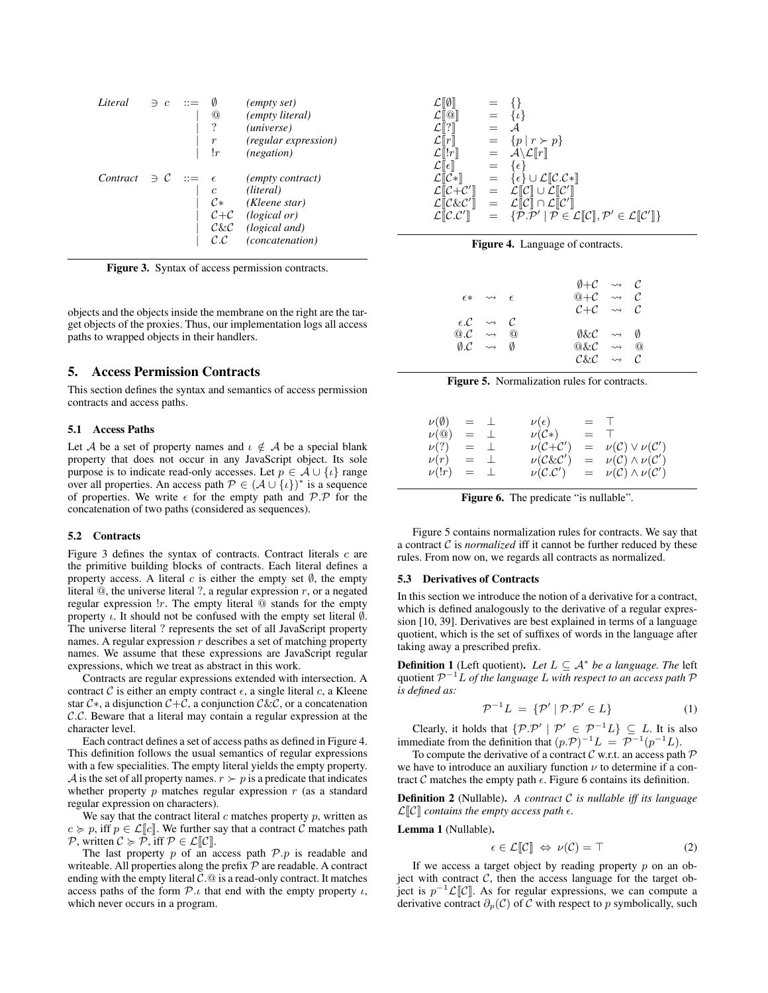| Literal                  | $\Rightarrow$ c |                  | <i>(empty set)</i>          |
|--------------------------|-----------------|------------------|-----------------------------|
|                          |                 | Ҩ                | (empty literal)             |
|                          |                 | ?                | (universe)                  |
|                          |                 | $\boldsymbol{r}$ | <i>(regular expression)</i> |
|                          |                 | !r               | ( <i>negation</i> )         |
| Contract $\exists C ::=$ |                 | $\epsilon$       | <i>(empty contract)</i>     |
|                          |                 | $\mathfrak{c}$   | (literal)                   |
|                          |                 | $\mathcal{C}^*$  | (Kleene star)               |
|                          |                 |                  | $C + C$ (logical or)        |
|                          |                 |                  | $C&C$ (logical and)         |
|                          |                 |                  | (concatenation)             |
|                          |                 |                  |                             |

Figure 3. Syntax of access permission contracts.

objects and the objects inside the membrane on the right are the target objects of the proxies. Thus, our implementation logs all access paths to wrapped objects in their handlers.

# 5. Access Permission Contracts

This section defines the syntax and semantics of access permission contracts and access paths.

# 5.1 Access Paths

Let A be a set of property names and  $\iota \notin A$  be a special blank property that does not occur in any JavaScript object. Its sole purpose is to indicate read-only accesses. Let  $p \in \mathcal{A} \cup \{i\}$  range over all properties. An access path  $\mathcal{P} \in (\mathcal{A} \cup \{\iota\})^*$  is a sequence of properties. We write  $\epsilon$  for the empty path and P.P for the concatenation of two paths (considered as sequences).

## 5.2 Contracts

Figure 3 defines the syntax of contracts. Contract literals  $c$  are the primitive building blocks of contracts. Each literal defines a property access. A literal c is either the empty set  $\emptyset$ , the empty literal  $\mathcal Q$ , the universe literal ?, a regular expression  $r$ , or a negated regular expression  $'r$ . The empty literal  $@$  stands for the empty property  $\iota$ . It should not be confused with the empty set literal  $\emptyset$ . The universe literal ? represents the set of all JavaScript property names. A regular expression  $r$  describes a set of matching property names. We assume that these expressions are JavaScript regular expressions, which we treat as abstract in this work.

Contracts are regular expressions extended with intersection. A contract C is either an empty contract  $\epsilon$ , a single literal c, a Kleene star  $C^*$ , a disjunction  $C+C$ , a conjunction  $C\&C$ , or a concatenation C.C. Beware that a literal may contain a regular expression at the character level.

Each contract defines a set of access paths as defined in Figure 4. This definition follows the usual semantics of regular expressions with a few specialities. The empty literal yields the empty property. A is the set of all property names.  $r \succ p$  is a predicate that indicates whether property  $p$  matches regular expression  $r$  (as a standard regular expression on characters).

We say that the contract literal  $c$  matches property  $p$ , written as  $c \geq p$ , iff  $p \in \mathcal{L}[[c]]$ . We further say that a contract C matches path P, written  $C \ge P$ , iff  $P \in \mathcal{L}[[C]]$ .

The last property  $p$  of an access path  $P.p$  is readable and writeable. All properties along the prefix  $P$  are readable. A contract ending with the empty literal  $C.\t\t\t@$  is a read-only contract. It matches access paths of the form  $P \tcdot \iota$  that end with the empty property  $\iota$ , which never occurs in a program.

| $\mathcal{L}\llbracket\emptyset\rrbracket$                  | $= \{ \}$ |                                                                                                                                   |
|-------------------------------------------------------------|-----------|-----------------------------------------------------------------------------------------------------------------------------------|
| $\mathcal{L}[\![\mathbb{Q}]\!]$                             |           | $= \{t\}$                                                                                                                         |
| $\mathcal{L}[\![?]\!]$                                      | $=$       | $\mathcal{A}$                                                                                                                     |
| $\mathcal{L} \  r \ $                                       | $=$       | $\{p \mid r \succ p\}$                                                                                                            |
| $\mathcal{L} \llbracket !r \rrbracket$                      |           | $=$ $\mathcal{A}\backslash\mathcal{L}[[r]]$                                                                                       |
| $\mathcal{L}\llbracket\epsilon\rrbracket$                   | $=$       | $\{\epsilon\}$                                                                                                                    |
| $\mathcal{L}[\![\mathcal{C}*\!]$                            | $=$       | $\{\epsilon\} \cup \mathcal{L}\llbracket \mathcal{C}.\mathcal{C}*\rrbracket$                                                      |
| $\mathcal{L}\llbracket \mathcal{C+}\mathcal{C}' \rrbracket$ | $=$       | $\mathcal{L}[\hspace{-0.04cm}[ \mathcal{C}] \hspace{-0.04cm}] \cup \mathcal{L}[\hspace{-0.04cm}[ \mathcal{C'}]\hspace{-0.04cm}]$  |
| $\mathcal{L}\llbracket \mathcal{C}\&\mathcal{C}'\rrbracket$ | $=$       | $\mathcal{L}[\hspace{-0.04cm}[ \mathcal{C}] \hspace{-0.04cm}] \cap \mathcal{L}[\hspace{-0.04cm}[ \mathcal{C}'] \hspace{-0.04cm}]$ |
| $\mathcal{L}[\![\mathcal{C}.\mathcal{C}']\!]$               |           | $= \{P.P'   P \in \mathcal{L}[\![\mathcal{C}]\!], P' \in \mathcal{L}[\![\mathcal{C}']\!]\}$                                       |



|                               | $\epsilon * \leadsto \epsilon$                         |          | $\emptyset + C \rightsquigarrow C$<br>$@+C \rightsquigarrow C$<br>$C+C \rightsquigarrow C$ |                          |  |
|-------------------------------|--------------------------------------------------------|----------|--------------------------------------------------------------------------------------------|--------------------------|--|
|                               | $\epsilon$ . $\mathcal{C} \rightarrow \mathcal{C}$     |          |                                                                                            |                          |  |
| $@.C \rightarrow \rightarrow$ |                                                        | $\omega$ |                                                                                            | O&C $\rightsquigarrow$ 0 |  |
|                               | $\emptyset$ . $\mathcal{C} \rightsquigarrow \emptyset$ |          | $@k\mathcal{C} \rightsquigarrow @$                                                         |                          |  |
|                               |                                                        |          | $C\&C \rightsquigarrow C$                                                                  |                          |  |



| $\nu(\emptyset)$ | $=$ $\perp$ |             | $\nu(\epsilon)$                    | $=$ 1                                         |
|------------------|-------------|-------------|------------------------------------|-----------------------------------------------|
| $\nu$ ( $@$ )    |             | $=$ $\perp$ | $\nu(\mathcal{C}*)$                | $=$ T                                         |
| $\nu(?)$         | $=$ $\perp$ |             | $\nu(\mathcal{C}+\mathcal{C}')$    | $= \nu(\mathcal{C}) \vee \nu(\mathcal{C}')$   |
| $\nu(r)$         |             | $=$ $\perp$ | $\nu(\mathcal{C} \& \mathcal{C}')$ | $= \nu(\mathcal{C}) \wedge \nu(\mathcal{C}')$ |
| $\nu(!r)$        | $=$ $\perp$ |             | $\nu(\mathcal{C}.\mathcal{C}')$    | $= \nu(\mathcal{C}) \wedge \nu(\mathcal{C}')$ |
|                  |             |             |                                    |                                               |

Figure 6. The predicate "is nullable".

Figure 5 contains normalization rules for contracts. We say that a contract  $C$  is *normalized* iff it cannot be further reduced by these rules. From now on, we regards all contracts as normalized.

## 5.3 Derivatives of Contracts

In this section we introduce the notion of a derivative for a contract, which is defined analogously to the derivative of a regular expression [10, 39]. Derivatives are best explained in terms of a language quotient, which is the set of suffixes of words in the language after taking away a prescribed prefix.

**Definition 1** (Left quotient). Let  $L \subseteq A^*$  be a language. The left quotient P <sup>−</sup><sup>1</sup>L *of the language* L *with respect to an access path* P *is defined as:*

$$
\mathcal{P}^{-1}L = \{ \mathcal{P}' \mid \mathcal{P}.\mathcal{P}' \in L \} \tag{1}
$$

Clearly, it holds that  $\{\mathcal{P} \cdot \mathcal{P}' \mid \mathcal{P}' \in \mathcal{P}^{-1}L\} \subseteq L$ . It is also immediate from the definition that  $(p \mathcal{P})^{-1}L = \mathcal{P}^{-1}(p^{-1}L)$ .

To compute the derivative of a contract  $\mathcal C$  w.r.t. an access path  $\mathcal P$ we have to introduce an auxiliary function  $\nu$  to determine if a contract C matches the empty path  $\epsilon$ . Figure 6 contains its definition.

Definition 2 (Nullable). *A contract* C *is nullable iff its language*  $\mathcal{L}[\mathcal{C}]$  contains the empty access path  $\epsilon$ *.* 

Lemma 1 (Nullable).

$$
\epsilon \in \mathcal{L}[\![\mathcal{C}]\!] \Leftrightarrow \nu(\mathcal{C}) = \top \tag{2}
$$

If we access a target object by reading property  $p$  on an object with contract  $C$ , then the access language for the target object is  $p^{-1} \mathcal{L}[\mathcal{C}]$ . As for regular expressions, we can compute a derivative contract  $\partial_p(C)$  of C with respect to p symbolically, such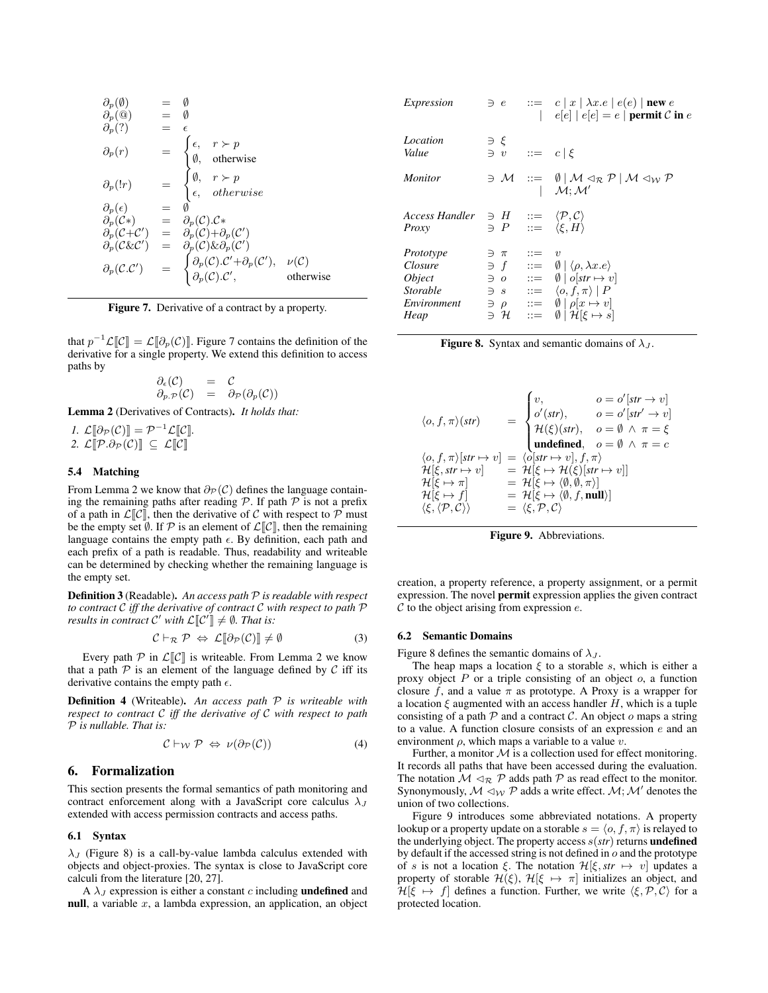$$
\partial_p(\emptyset) = \emptyset \n\partial_p(\emptyset) = \emptyset \n\partial_p(\uparrow) = \begin{cases}\n\epsilon, & r \succ p \\
\emptyset, & \text{otherwise}\n\end{cases} \n\partial_p(r) = \begin{cases}\n\epsilon, & r \succ p \\
\emptyset, & \text{otherwise}\n\end{cases} \n\partial_p(r) = \begin{cases}\n\emptyset, & r \succ p \\
\epsilon, & \text{otherwise}\n\end{cases} \n\partial_p(\epsilon) = \emptyset \n\partial_p(\mathcal{C}*) = \partial_p(\mathcal{C}).\mathcal{C}^* \n\partial_p(\mathcal{C} \star \mathcal{C}') = \partial_p(\mathcal{C}) + \partial_p(\mathcal{C}') \n\partial_p(\mathcal{C} \star \mathcal{C}') = \begin{cases}\n\partial_p(\mathcal{C}).\mathcal{C}' + \partial_p(\mathcal{C}'), & \nu(\mathcal{C}) \\
\partial_p(\mathcal{C}).\mathcal{C}', & \text{otherwise}\n\end{cases}
$$

Figure 7. Derivative of a contract by a property.

that  $p^{-1} \mathcal{L}[\mathcal{C}] = \mathcal{L}[\mathcal{D}_p(\mathcal{C})]$ . Figure 7 contains the definition of the derivative for a single property. We extend this definition to access paths by

$$
\begin{array}{rcl}\n\partial_{\epsilon}(\mathcal{C}) & = & \mathcal{C} \\
\partial_{p} \cdot \mathcal{P}(\mathcal{C}) & = & \partial_{\mathcal{P}}(\partial_{p}(\mathcal{C}))\n\end{array}
$$

Lemma 2 (Derivatives of Contracts). *It holds that:*

*1.*  $\mathcal{L}[\partial_{\mathcal{P}}(\mathcal{C})] = \mathcal{P}^{-1}\mathcal{L}[\mathcal{C}].$ 2.  $\mathcal{L}\llbracket \mathcal{P}.\partial_{\mathcal{P}}(\mathcal{C})\rrbracket \subseteq \mathcal{L}\llbracket \mathcal{C}\rrbracket$ 

#### 5.4 Matching

From Lemma 2 we know that  $\partial_{\mathcal{P}}(\mathcal{C})$  defines the language containing the remaining paths after reading  $P$ . If path  $P$  is not a prefix of a path in  $\mathcal{L}[\mathcal{C}]$ , then the derivative of C with respect to P must be the empty set  $\emptyset$ . If  $\mathcal P$  is an element of  $\mathcal L[\![\mathcal C]\!]$ , then the remaining language contains the empty path  $\epsilon$ . By definition, each path and each prefix of a path is readable. Thus, readability and writeable can be determined by checking whether the remaining language is the empty set.

Definition 3 (Readable). *An access path* P *is readable with respect to contract* C *iff the derivative of contract* C *with respect to path* P *results in contract*  $\mathcal{C}'$  with  $\mathcal{L}[\![\mathcal{C}']\!] \neq \emptyset$ . That is:

$$
\mathcal{C} \vdash_{\mathcal{R}} \mathcal{P} \Leftrightarrow \mathcal{L}[\partial_{\mathcal{P}}(\mathcal{C})] \neq \emptyset \tag{3}
$$

Every path  $P$  in  $\mathcal{L}[\mathcal{C}]$  is writeable. From Lemma 2 we know that a path  $P$  is an element of the language defined by  $C$  iff its derivative contains the empty path  $\epsilon$ .

Definition 4 (Writeable). *An access path* P *is writeable with respect to contract* C *iff the derivative of* C *with respect to path* P *is nullable. That is:*

$$
\mathcal{C} \vdash_{\mathcal{W}} \mathcal{P} \Leftrightarrow \nu(\partial_{\mathcal{P}}(\mathcal{C})) \tag{4}
$$

# 6. Formalization

This section presents the formal semantics of path monitoring and contract enforcement along with a JavaScript core calculus  $\lambda_J$ extended with access permission contracts and access paths.

#### 6.1 Syntax

 $\lambda_J$  (Figure 8) is a call-by-value lambda calculus extended with objects and object-proxies. The syntax is close to JavaScript core calculi from the literature [20, 27].

A  $\lambda_J$  expression is either a constant c including **undefined** and null, a variable  $x$ , a lambda expression, an application, an object

| Expression                                                                                       |                                                               |                         | $\exists e$ $:=$ $c   x   \lambda x.e   e(e)  $ new e<br>$ e[e]  e[e] = e  $ permit C in e                                     |
|--------------------------------------------------------------------------------------------------|---------------------------------------------------------------|-------------------------|--------------------------------------------------------------------------------------------------------------------------------|
| Location<br>Value                                                                                | $\Rightarrow$ $\xi$<br>$\exists v \quad ::= \quad c \mid \xi$ |                         |                                                                                                                                |
| <i>Monitor</i>                                                                                   |                                                               |                         | $\exists M :: = \emptyset \mid M \triangleleft_R \mathcal{P} \mid M \triangleleft_W \mathcal{P}$<br>$\mathcal{M};\mathcal{M}'$ |
| Access Handler $\Rightarrow$ H $\Rightarrow$ $\langle \mathcal{P}, \mathcal{C} \rangle$<br>Proxy |                                                               |                         | $\ni$ P ::= $\langle \xi, H \rangle$                                                                                           |
| Prototype                                                                                        | $\exists \pi$                                                 | $\mathrel{\mathop:}= v$ |                                                                                                                                |
| Closure                                                                                          | $\exists f$                                                   |                         | $\equiv \emptyset   \langle \rho, \lambda x. e \rangle$                                                                        |
| <i>Object</i>                                                                                    |                                                               |                         | $\exists$ $o$ $::=\emptyset$   $o[str \mapsto v]$                                                                              |
| <i>Storable</i>                                                                                  |                                                               |                         | $\exists s$ $::=\langle o, f, \pi \rangle \mid P$                                                                              |
| Environment                                                                                      | $\exists \rho$                                                |                         | $ ::= \emptyset   \rho[x \mapsto v]$                                                                                           |
| Heap                                                                                             | эн                                                            |                         | $ ::= \emptyset   \mathcal{H}[\xi \mapsto s]$                                                                                  |



$$
\langle o, f, \pi \rangle (str) = \begin{cases} v, & o = o'[str \rightarrow v] \\ o'(str), & o = o'[str' \rightarrow v] \\ \mathcal{H}(\xi)(str), & o = \emptyset \land \pi = \xi \end{cases}
$$
  
\n
$$
\langle o, f, \pi \rangle [str \mapsto v] = \langle o[str \rightarrow v], f, \pi \rangle
$$
  
\n
$$
\mathcal{H}[\xi, str \mapsto v] = \mathcal{H}[\xi \mapsto \mathcal{H}(\xi)[str \mapsto v]]
$$
  
\n
$$
\mathcal{H}[\xi \mapsto \pi] = \mathcal{H}[\xi \mapsto \mathcal{H}(\xi)[str \mapsto v]]
$$
  
\n
$$
\mathcal{H}[\xi \mapsto f] = \mathcal{H}[\xi \mapsto \langle \emptyset, \emptyset, \pi \rangle]
$$
  
\n
$$
\langle \xi, \langle \mathcal{P}, \mathcal{C} \rangle \rangle = \langle \xi, \mathcal{P}, \mathcal{C} \rangle
$$

Figure 9. Abbreviations.

creation, a property reference, a property assignment, or a permit expression. The novel permit expression applies the given contract  $C$  to the object arising from expression  $e$ .

#### 6.2 Semantic Domains

Figure 8 defines the semantic domains of  $\lambda_{J}$ .

The heap maps a location  $\xi$  to a storable s, which is either a proxy object  $P$  or a triple consisting of an object  $o$ , a function closure f, and a value  $\pi$  as prototype. A Proxy is a wrapper for a location  $\xi$  augmented with an access handler H, which is a tuple consisting of a path  $P$  and a contract  $C$ . An object  $o$  maps a string to a value. A function closure consists of an expression e and an environment  $\rho$ , which maps a variable to a value v.

Further, a monitor  $M$  is a collection used for effect monitoring. It records all paths that have been accessed during the evaluation. The notation  $M \triangleleft_R \mathcal{P}$  adds path  $\mathcal P$  as read effect to the monitor. Synonymously,  $\mathcal{M} \triangleleft_{\mathcal{W}} \mathcal{P}$  adds a write effect.  $\mathcal{M}$ ;  $\mathcal{M}'$  denotes the union of two collections.

Figure 9 introduces some abbreviated notations. A property lookup or a property update on a storable  $s = \langle o, f, \pi \rangle$  is relayed to the underlying object. The property access  $s(str)$  returns **undefined** by default if the accessed string is not defined in  $o$  and the prototype of s is not a location  $\xi$ . The notation  $\mathcal{H}[\xi, str \mapsto v]$  updates a property of storable  $\mathcal{H}(\xi)$ ,  $\mathcal{H}[\xi \mapsto \pi]$  initializes an object, and  $H[\hat{\xi} \mapsto f]$  defines a function. Further, we write  $\langle \xi, \mathcal{P}, \mathcal{C} \rangle$  for a protected location.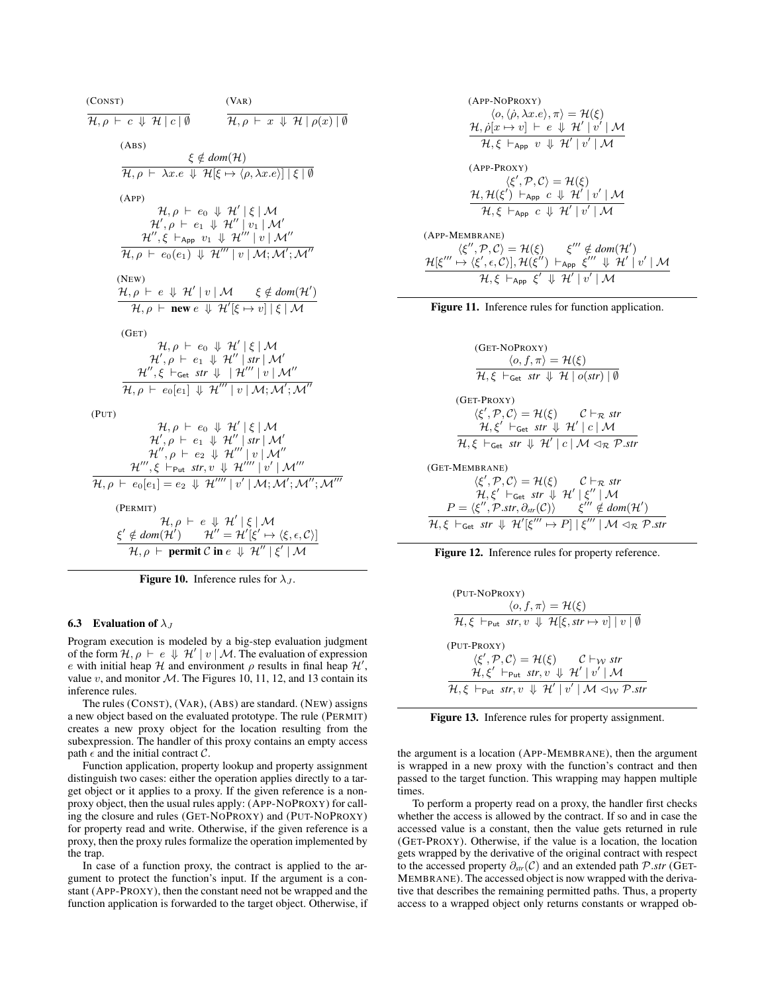(CONST)

\n(VAR)

\n(ABS)

\n(ABS)

\n
$$
\frac{\xi \notin dom(\mathcal{H})}{\mathcal{H}, \rho \vdash \lambda x.e. \psi \mathcal{H}[\xi \mapsto \langle \rho, \lambda x.e. \rangle] |\xi| \emptyset}
$$
\n(APP)

\n
$$
\frac{\mathcal{H}, \rho \vdash \lambda x.e. \psi \mathcal{H}[\xi \mapsto \langle \rho, \lambda x.e. \rangle] |\xi| \emptyset}{\mathcal{H}', \rho \vdash e_0 \psi \mathcal{H}' |\xi| \mathcal{M}'}
$$
\n
$$
\frac{\mathcal{H}'', \rho \vdash e_1 \psi \mathcal{H}'' | v_1 | \mathcal{M}'}{\mathcal{H}, \rho \vdash e_0(e_1) \psi \mathcal{H}''' | v | \mathcal{M}'}
$$
\n(NEW)

\n
$$
\frac{\mathcal{H}, \rho \vdash e \psi \mathcal{H}' | v | \mathcal{M} \xi \notin dom(\mathcal{H}')}{\mathcal{H}, \rho \vdash new e \psi \mathcal{H}'[\xi \mapsto v] |\xi| \mathcal{M}'}
$$
\n(GET)

\n
$$
\frac{\mathcal{H}, \rho \vdash e_0 \psi \mathcal{H}' |\xi| \mathcal{M}}{\mathcal{H}', \rho \vdash e_1 \psi \mathcal{H}'' | \mathcal{H}'' | \mathcal{M}'}
$$
\n
$$
\frac{\mathcal{H}', \rho \vdash e_0 \psi \mathcal{H}' |\xi| \mathcal{M}}{\mathcal{H}', \rho \vdash e_1 \psi \mathcal{H}'' | \mathcal{H}'' | \mathcal{M}''}
$$
\n(PUT)

\n
$$
\frac{\mathcal{H}, \rho \vdash e_0 \psi \mathcal{H}' |\xi| \mathcal{M}}{\mathcal{H}, \rho \vdash e_0[e_1] \psi \mathcal{H}''' | v | \mathcal{M}'}
$$
\n
$$
\frac{\mathcal{H}'', \rho \vdash e_1 \psi \mathcal{H}'' | \mathcal{H}'' | \mathcal{M}''}{\mathcal{H}', \rho \vdash e_2 \psi \mathcal{H}''' | v | \mathcal{M}'}
$$
\n
$$
\frac{\mathcal{H}''', \xi \vdash_{\text{Put } \mathcal{SH}' \mathcal{H
$$

**Figure 10.** Inference rules for  $\lambda_J$ .

#### 6.3 Evaluation of  $\lambda_J$

Program execution is modeled by a big-step evaluation judgment of the form  $\mathcal{H}, \rho \vdash e \Downarrow \mathcal{H}' \mid v \mid \mathcal{M}$ . The evaluation of expression e with initial heap  $H$  and environment  $\rho$  results in final heap  $H'$ , value v, and monitor  $M$ . The Figures 10, 11, 12, and 13 contain its inference rules.

The rules (CONST), (VAR), (ABS) are standard. (NEW) assigns a new object based on the evaluated prototype. The rule (PERMIT) creates a new proxy object for the location resulting from the subexpression. The handler of this proxy contains an empty access path  $\epsilon$  and the initial contract  $\mathcal{C}$ .

Function application, property lookup and property assignment distinguish two cases: either the operation applies directly to a target object or it applies to a proxy. If the given reference is a nonproxy object, then the usual rules apply: (APP-NOPROXY) for calling the closure and rules (GET-NOPROXY) and (PUT-NOPROXY) for property read and write. Otherwise, if the given reference is a proxy, then the proxy rules formalize the operation implemented by the trap.

In case of a function proxy, the contract is applied to the argument to protect the function's input. If the argument is a constant (APP-PROXY), then the constant need not be wrapped and the function application is forwarded to the target object. Otherwise, if

(APP-NOPROXY)

\n
$$
\langle o, \langle \dot{\rho}, \lambda x.e \rangle, \pi \rangle = \mathcal{H}(\xi)
$$
\n
$$
\frac{\mathcal{H}, \dot{\rho}[x \mapsto v] \vdash e \Downarrow \mathcal{H}' \mid v' \mid \mathcal{M}}{\mathcal{H}, \xi \vdash_{\mathsf{App}} v \Downarrow \mathcal{H}' \mid v' \mid \mathcal{M}}
$$
\n(APP-PROXY)

\n
$$
\langle \xi', \mathcal{P}, \mathcal{C} \rangle = \mathcal{H}(\xi)
$$
\n
$$
\frac{\mathcal{H}, \mathcal{H}(\xi') \vdash_{\mathsf{App}} c \Downarrow \mathcal{H}' \mid v' \mid \mathcal{M}}{\mathcal{H}, \xi \vdash_{\mathsf{App}} c \Downarrow \mathcal{H}' \mid v' \mid \mathcal{M}}
$$
\n(APP-MEMBRANE)

\n
$$
\langle \xi'', \mathcal{P}, \mathcal{C} \rangle = \mathcal{H}(\xi)
$$
\n
$$
\frac{\mathcal{H}[\xi'' \mapsto \langle \xi', \epsilon, \mathcal{C} \rangle], \mathcal{H}(\xi'') \vdash_{\mathsf{App}} \xi''' \Downarrow \mathcal{H}' \mid v' \mid \mathcal{M}}{\mathcal{H}, \xi \vdash_{\mathsf{App}} \xi' \Downarrow \mathcal{H}' \mid v' \mid \mathcal{M}}
$$



 $\mathcal{H}[\xi]$ 





$$
\langle \text{PUT-NoPROXY} \rangle
$$
\n
$$
\langle o, f, \pi \rangle = \mathcal{H}(\xi)
$$
\n
$$
\mathcal{H}, \xi \vdash_{\text{Put}} str, v \Downarrow \mathcal{H}[\xi, str \mapsto v] \mid v \mid \emptyset
$$
\n
$$
\langle \xi', \mathcal{P}, \mathcal{C} \rangle = \mathcal{H}(\xi) \qquad \mathcal{C} \vdash_{\mathcal{W}} str
$$
\n
$$
\mathcal{H}, \xi' \vdash_{\text{Put}} str, v \Downarrow \mathcal{H}' \mid v' \mid \mathcal{M}
$$
\n
$$
\mathcal{H}, \xi \vdash_{\text{Put}} str, v \Downarrow \mathcal{H}' \mid v' \mid \mathcal{M} \triangleleft_{\mathcal{W}} \mathcal{P}.str
$$

Figure 13. Inference rules for property assignment.

the argument is a location (APP-MEMBRANE), then the argument is wrapped in a new proxy with the function's contract and then passed to the target function. This wrapping may happen multiple times.

To perform a property read on a proxy, the handler first checks whether the access is allowed by the contract. If so and in case the accessed value is a constant, then the value gets returned in rule (GET-PROXY). Otherwise, if the value is a location, the location gets wrapped by the derivative of the original contract with respect to the accessed property ∂*str*(C) and an extended path P.*str* (GET-MEMBRANE). The accessed object is now wrapped with the derivative that describes the remaining permitted paths. Thus, a property access to a wrapped object only returns constants or wrapped ob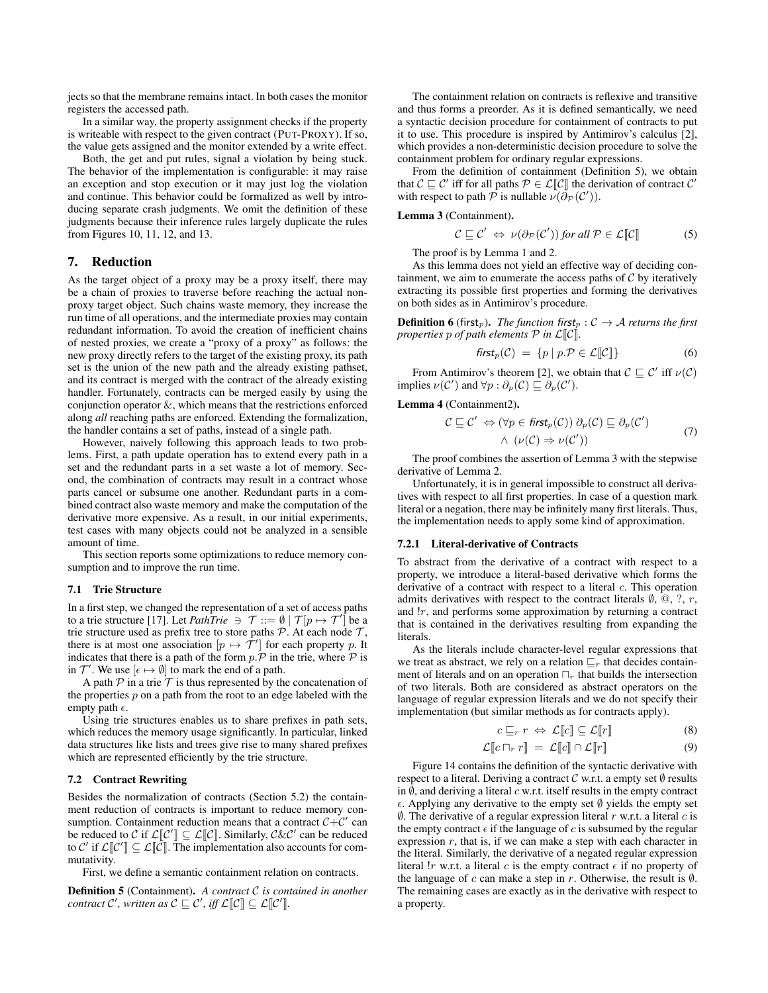jects so that the membrane remains intact. In both cases the monitor registers the accessed path.

In a similar way, the property assignment checks if the property is writeable with respect to the given contract (PUT-PROXY). If so, the value gets assigned and the monitor extended by a write effect.

Both, the get and put rules, signal a violation by being stuck. The behavior of the implementation is configurable: it may raise an exception and stop execution or it may just log the violation and continue. This behavior could be formalized as well by introducing separate crash judgments. We omit the definition of these judgments because their inference rules largely duplicate the rules from Figures 10, 11, 12, and 13.

# 7. Reduction

As the target object of a proxy may be a proxy itself, there may be a chain of proxies to traverse before reaching the actual nonproxy target object. Such chains waste memory, they increase the run time of all operations, and the intermediate proxies may contain redundant information. To avoid the creation of inefficient chains of nested proxies, we create a "proxy of a proxy" as follows: the new proxy directly refers to the target of the existing proxy, its path set is the union of the new path and the already existing pathset, and its contract is merged with the contract of the already existing handler. Fortunately, contracts can be merged easily by using the conjunction operator &, which means that the restrictions enforced along *all* reaching paths are enforced. Extending the formalization, the handler contains a set of paths, instead of a single path.

However, naively following this approach leads to two problems. First, a path update operation has to extend every path in a set and the redundant parts in a set waste a lot of memory. Second, the combination of contracts may result in a contract whose parts cancel or subsume one another. Redundant parts in a combined contract also waste memory and make the computation of the derivative more expensive. As a result, in our initial experiments, test cases with many objects could not be analyzed in a sensible amount of time.

This section reports some optimizations to reduce memory consumption and to improve the run time.

# 7.1 Trie Structure

In a first step, we changed the representation of a set of access paths to a trie structure [17]. Let *PathTrie*  $\Rightarrow$   $\mathcal{T} ::= \emptyset | \mathcal{T}[p \mapsto \mathcal{T}']$  be a trie structure used as prefix tree to store paths  $P$ . At each node  $T$ , there is at most one association  $[p \mapsto \mathcal{T}']$  for each property p. It indicates that there is a path of the form  $p \cdot \mathcal{P}$  in the trie, where  $\mathcal P$  is in  $\mathcal{T}'$ . We use  $\left[\epsilon \mapsto \emptyset\right]$  to mark the end of a path.

A path  $P$  in a trie  $T$  is thus represented by the concatenation of the properties  $p$  on a path from the root to an edge labeled with the empty path  $\epsilon$ .

Using trie structures enables us to share prefixes in path sets, which reduces the memory usage significantly. In particular, linked data structures like lists and trees give rise to many shared prefixes which are represented efficiently by the trie structure.

#### 7.2 Contract Rewriting

Besides the normalization of contracts (Section 5.2) the containment reduction of contracts is important to reduce memory consumption. Containment reduction means that a contract  $C + C'$  can be reduced to C if  $\mathcal{L}[\[\mathcal{C}']\] \subseteq \mathcal{L}[\[\mathcal{C}]\]$ . Similarly,  $\mathcal{C}\&\mathcal{C}'$  can be reduced to C' if  $\mathcal{L}[\mathcal{C}'] \subseteq \mathcal{L}[\mathcal{\tilde{C}}]$ . The implementation also accounts for commutativity.

First, we define a semantic containment relation on contracts.

Definition 5 (Containment). *A contract* C *is contained in another contract*  $\mathcal{C}'$ , written as  $\mathcal{C} \sqsubseteq \mathcal{C}'$ , iff  $\mathcal{L}\llbracket \mathcal{C} \rrbracket \subseteq \mathcal{L}\llbracket \mathcal{C}' \rrbracket$ .

The containment relation on contracts is reflexive and transitive and thus forms a preorder. As it is defined semantically, we need a syntactic decision procedure for containment of contracts to put it to use. This procedure is inspired by Antimirov's calculus [2], which provides a non-deterministic decision procedure to solve the containment problem for ordinary regular expressions.

From the definition of containment (Definition 5), we obtain that  $C \sqsubseteq C'$  iff for all paths  $\mathcal{P} \in \mathcal{L}[\![C]\!]$  the derivation of contract  $C'$ with respect to path  $\overline{P}$  is nullable  $\overline{\nu}(\overline{\partial}_{\mathcal{P}}(C'))$ .

## Lemma 3 (Containment).

$$
C \sqsubseteq C' \Leftrightarrow \nu(\partial_{\mathcal{P}}(C')) \text{ for all } \mathcal{P} \in \mathcal{L}[\![C]\!] \tag{5}
$$

The proof is by Lemma 1 and 2.

As this lemma does not yield an effective way of deciding containment, we aim to enumerate the access paths of  $C$  by iteratively extracting its possible first properties and forming the derivatives on both sides as in Antimirov's procedure.

**Definition 6** (first<sub>p</sub>). *The function* first<sub>p</sub> :  $C \rightarrow A$  *returns the first properties*  $p$  *of path elements*  $\mathcal{P}$  *in*  $\mathcal{L}[\mathcal{C}].$ 

$$
first_p(\mathcal{C}) = \{ p \mid p.\mathcal{P} \in \mathcal{L}[\![\mathcal{C}]\!]\} \tag{6}
$$

From Antimirov's theorem [2], we obtain that  $\mathcal{C} \sqsubseteq \mathcal{C}'$  iff  $\nu(\mathcal{C})$ implies  $\nu(\mathcal{C}')$  and  $\forall p : \partial_p(\mathcal{C}) \sqsubseteq \partial_p(\mathcal{C}')$ .

## Lemma 4 (Containment2).

$$
\mathcal{C} \sqsubseteq \mathcal{C}' \Leftrightarrow (\forall p \in \text{first}_p(\mathcal{C})) \; \partial_p(\mathcal{C}) \sqsubseteq \partial_p(\mathcal{C}')
$$
  
 
$$
\wedge \; (\nu(\mathcal{C}) \Rightarrow \nu(\mathcal{C}')) \tag{7}
$$

The proof combines the assertion of Lemma 3 with the stepwise derivative of Lemma 2.

Unfortunately, it is in general impossible to construct all derivatives with respect to all first properties. In case of a question mark literal or a negation, there may be infinitely many first literals. Thus, the implementation needs to apply some kind of approximation.

# 7.2.1 Literal-derivative of Contracts

To abstract from the derivative of a contract with respect to a property, we introduce a literal-based derivative which forms the derivative of a contract with respect to a literal  $c$ . This operation admits derivatives with respect to the contract literals  $\emptyset$ ,  $\emptyset$ ,  $\gamma$ ,  $r$ , and  $\alpha$ , and performs some approximation by returning a contract that is contained in the derivatives resulting from expanding the literals.

As the literals include character-level regular expressions that we treat as abstract, we rely on a relation  $\mathbb{E}_r$  that decides containment of literals and on an operation  $\Box_r$  that builds the intersection of two literals. Both are considered as abstract operators on the language of regular expression literals and we do not specify their implementation (but similar methods as for contracts apply).

$$
c \sqsubseteq_r r \Leftrightarrow \mathcal{L}[\![c]\!] \subseteq \mathcal{L}[\![r]\!] \tag{8}
$$

$$
\mathcal{L}\llbracket c \sqcap_r r \rrbracket = \mathcal{L}\llbracket c \rrbracket \cap \mathcal{L}\llbracket r \rrbracket \tag{9}
$$

Figure 14 contains the definition of the syntactic derivative with respect to a literal. Deriving a contract  $C$  w.r.t. a empty set  $\emptyset$  results in  $\emptyset$ , and deriving a literal c w.r.t. itself results in the empty contract  $\epsilon$ . Applying any derivative to the empty set  $\emptyset$  yields the empty set  $\emptyset$ . The derivative of a regular expression literal r w.r.t. a literal c is the empty contract  $\epsilon$  if the language of c is subsumed by the regular expression  $r$ , that is, if we can make a step with each character in the literal. Similarly, the derivative of a negated regular expression literal  $lr$  w.r.t. a literal c is the empty contract  $\epsilon$  if no property of the language of c can make a step in r. Otherwise, the result is  $\emptyset$ . The remaining cases are exactly as in the derivative with respect to a property.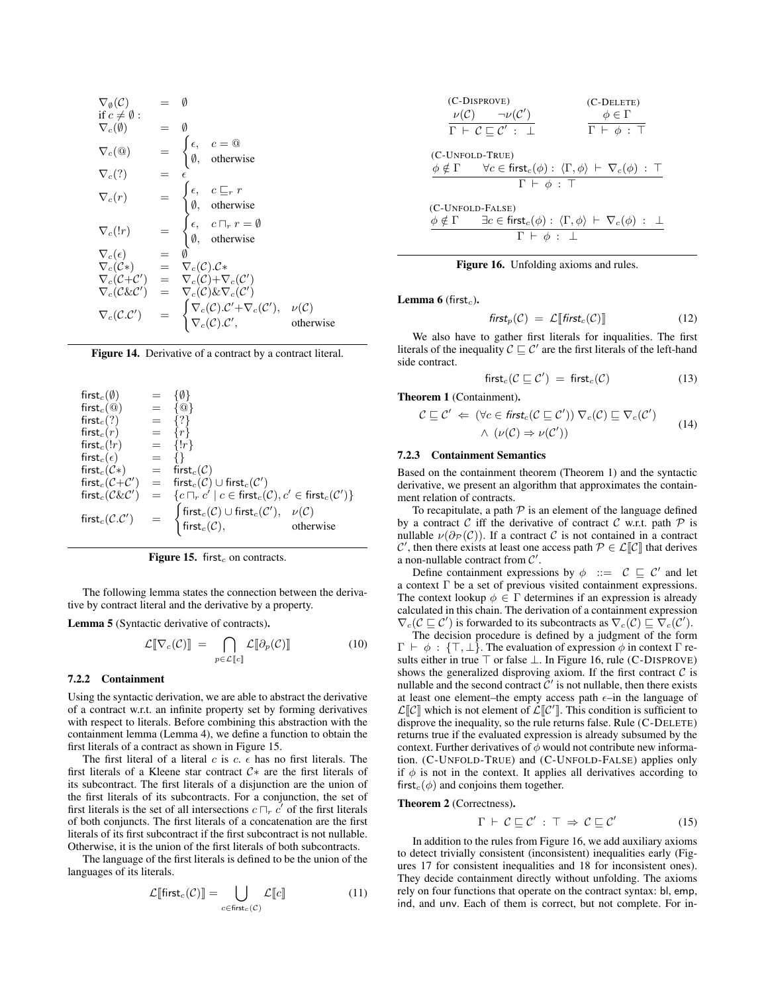$$
\nabla_{\theta}(C) = \emptyset
$$
\nif  $c \neq \emptyset$ :  
\n
$$
\nabla_{c}(\emptyset) = \emptyset
$$
\n
$$
\nabla_{c}(\emptyset) = \emptyset
$$
\n
$$
\nabla_{c}(\emptyset) = \begin{cases}\n\epsilon, & c = \emptyset \\
\emptyset, & \text{otherwise}\n\end{cases}
$$
\n
$$
\nabla_{c}(r) = \begin{cases}\n\epsilon, & c \sqsubseteq_{r} r \\
\emptyset, & \text{otherwise}\n\end{cases}
$$
\n
$$
\nabla_{c}(r) = \begin{cases}\n\epsilon, & c \sqsubseteq_{r} r \\
\emptyset, & \text{otherwise}\n\end{cases}
$$
\n
$$
\nabla_{c}(\epsilon) = \emptyset
$$
\n
$$
\nabla_{c}(C \epsilon) = \nabla_{c}(C) . C \epsilon
$$
\n
$$
\nabla_{c}(C + C') = \nabla_{c}(C) + \nabla_{c}(C')
$$
\n
$$
\nabla_{c}(C \& C') = \begin{cases}\n\nabla_{c}(C) . C' + \nabla_{c}(C'), & \nu(C) \\
\nabla_{c}(C) . C', & \text{otherwise}\n\end{cases}
$$

Figure 14. Derivative of a contract by a contract literal.

| first <sub>c</sub> $(\emptyset)$                               | $=$ $-$ | {0}                                                                                                                                                                                                                                                                                                          |           |
|----------------------------------------------------------------|---------|--------------------------------------------------------------------------------------------------------------------------------------------------------------------------------------------------------------------------------------------------------------------------------------------------------------|-----------|
| first <sub>c</sub> ( $@$ )                                     |         | $= \{ \textcircled{a} \}$                                                                                                                                                                                                                                                                                    |           |
| first $_c(?)$                                                  | $=$     | $\{?\}$                                                                                                                                                                                                                                                                                                      |           |
| first <sub>c</sub> $(r)$                                       | $=$     | $\{r\}$                                                                                                                                                                                                                                                                                                      |           |
| $first_c(!r)$                                                  |         | $= \{!r\}$                                                                                                                                                                                                                                                                                                   |           |
| first $_c(\epsilon)$                                           | $=$     |                                                                                                                                                                                                                                                                                                              |           |
| $first_c(\mathcal{C}*)$ = first <sub>c</sub> ( $\mathcal{C}$ ) |         |                                                                                                                                                                                                                                                                                                              |           |
|                                                                |         |                                                                                                                                                                                                                                                                                                              |           |
|                                                                |         | $\begin{array}{lcl} \mathrm{first}_c(\mathcal{C} + \mathcal{C}') & = & \mathrm{first}_c(\mathcal{C}) \cup \mathrm{first}_c(\mathcal{C}') \\ \mathrm{first}_c(\mathcal{C}\&\mathcal{C}') & = & \{c \sqcap_r c' \mid c \in \mathrm{first}_c(\mathcal{C}), c' \in \mathrm{first}_c(\mathcal{C}')\} \end{array}$ |           |
| $\mathsf{first}_c(\mathcal{C}.\mathcal{C}')$                   |         | $\begin{cases} \operatorname{first}_c(\mathcal{C}) \cup \operatorname{first}_c(\mathcal{C}'), & \nu(\mathcal{C}) \\ \operatorname{first}_c(\mathcal{C}), & \operatorname{other} \end{cases}$                                                                                                                 | otherwise |

Figure 15. first<sub>c</sub> on contracts.

The following lemma states the connection between the derivative by contract literal and the derivative by a property.

Lemma 5 (Syntactic derivative of contracts).

$$
\mathcal{L}[\![\nabla_c(\mathcal{C})]\!] = \bigcap_{p \in \mathcal{L}[\![c]\!]}\mathcal{L}[\![\partial_p(\mathcal{C})]\!]
$$
 (10)

#### 7.2.2 Containment

Using the syntactic derivation, we are able to abstract the derivative of a contract w.r.t. an infinite property set by forming derivatives with respect to literals. Before combining this abstraction with the containment lemma (Lemma 4), we define a function to obtain the first literals of a contract as shown in Figure 15.

The first literal of a literal c is c.  $\epsilon$  has no first literals. The first literals of a Kleene star contract C∗ are the first literals of its subcontract. The first literals of a disjunction are the union of the first literals of its subcontracts. For a conjunction, the set of first literals is the set of all intersections  $c \sqcap_r c'$  of the first literals of both conjuncts. The first literals of a concatenation are the first literals of its first subcontract if the first subcontract is not nullable. Otherwise, it is the union of the first literals of both subcontracts.

The language of the first literals is defined to be the union of the languages of its literals.

$$
\mathcal{L}[\text{first}_c(\mathcal{C})] = \bigcup_{c \in \text{first}_c(\mathcal{C})} \mathcal{L}[c] \tag{11}
$$

(C-DISPROVE)  
\n
$$
\nu(C)
$$
  $\neg \nu(C')$   
\n $\Gamma \vdash C \sqsubseteq C' : \bot$   
\n(C-DELETE)  
\n $\phi \in \Gamma$   
\n $\Gamma \vdash \phi : \top$ 

(C-UNFOLD-TRUE)  
\n
$$
\begin{array}{ccc}\n\phi \notin \Gamma & \forall c \in \text{first}_c(\phi) : \langle \Gamma, \phi \rangle \vdash \nabla_c(\phi) : \top \\
\Gamma \vdash \phi : \top\n\end{array}
$$
\n(C-UNFOLD-FALSE)  
\n
$$
\begin{array}{ccc}\n\phi \notin \Gamma & \exists c \in \text{first}_c(\phi) : \langle \Gamma, \phi \rangle \vdash \nabla_c(\phi) : \bot\n\end{array}
$$

$$
\frac{\phi \notin \Gamma \qquad \exists c \in \text{first}_c(\phi) : \langle \Gamma, \phi \rangle \vdash \nabla_c(\phi) : \perp}{\Gamma \vdash \phi : \perp}
$$



**Lemma 6** (first<sub>c</sub>).

$$
first_p(\mathcal{C}) = \mathcal{L}[\text{first}_c(\mathcal{C})] \tag{12}
$$

We also have to gather first literals for inqualities. The first literals of the inequality  $C \sqsubseteq C'$  are the first literals of the left-hand side contract.

$$
first_c(\mathcal{C} \sqsubseteq \mathcal{C}') = first_c(\mathcal{C}) \tag{13}
$$

Theorem 1 (Containment).

$$
\mathcal{C} \sqsubseteq \mathcal{C}' \Leftarrow (\forall c \in \mathit{first}_c (\mathcal{C} \sqsubseteq \mathcal{C}')) \nabla_c (\mathcal{C}) \sqsubseteq \nabla_c (\mathcal{C}')
$$
  
 
$$
\wedge (\nu(\mathcal{C}) \Rightarrow \nu(\mathcal{C}')) \tag{14}
$$

## 7.2.3 Containment Semantics

Based on the containment theorem (Theorem 1) and the syntactic derivative, we present an algorithm that approximates the containment relation of contracts.

To recapitulate, a path  $P$  is an element of the language defined by a contract C iff the derivative of contract C w.r.t. path  $P$  is nullable  $\nu(\partial_{\mathcal{P}}(\mathcal{C}))$ . If a contract  $\mathcal C$  is not contained in a contract C', then there exists at least one access path  $P \in \mathcal{L}[\mathcal{C}]$  that derives a non-nullable contract from  $\mathcal{C}'$ .

Define containment expressions by  $\phi$  ::=  $C \subseteq C'$  and let a context  $\Gamma$  be a set of previous visited containment expressions. The context lookup  $\phi \in \Gamma$  determines if an expression is already calculated in this chain. The derivation of a containment expression  $\nabla_c(\mathcal{C} \sqsubseteq \mathcal{C}')$  is forwarded to its subcontracts as  $\nabla_c(\mathcal{C}) \sqsubseteq \nabla_c(\mathcal{C}').$ 

The decision procedure is defined by a judgment of the form  $\Gamma \vdash \phi : \{\top, \bot\}$ . The evaluation of expression  $\phi$  in context  $\Gamma$  results either in true ⊤ or false ⊥. In Figure 16, rule (C-DISPROVE) shows the generalized disproving axiom. If the first contract  $\mathcal C$  is nullable and the second contract  $\tilde{C}'$  is not nullable, then there exists at least one element–the empty access path  $\epsilon$ –in the language of  $\mathcal{L}[\![\mathcal{C}]\!]$  which is not element of  $\mathcal{L}[\![\mathcal{C}']\!]$ . This condition is sufficient to disprove the inequality, so the rule returns false. Rule (C-DELETE) returns true if the evaluated expression is already subsumed by the context. Further derivatives of  $\phi$  would not contribute new information. (C-UNFOLD-TRUE) and (C-UNFOLD-FALSE) applies only if  $\phi$  is not in the context. It applies all derivatives according to first<sub>c</sub>( $\phi$ ) and conjoins them together.

# Theorem 2 (Correctness).

$$
\Gamma \vdash \mathcal{C} \sqsubseteq \mathcal{C}' : \top \Rightarrow \mathcal{C} \sqsubseteq \mathcal{C}' \tag{15}
$$

In addition to the rules from Figure 16, we add auxiliary axioms to detect trivially consistent (inconsistent) inequalities early (Figures 17 for consistent inequalities and 18 for inconsistent ones). They decide containment directly without unfolding. The axioms rely on four functions that operate on the contract syntax: bl, emp, ind, and unv. Each of them is correct, but not complete. For in-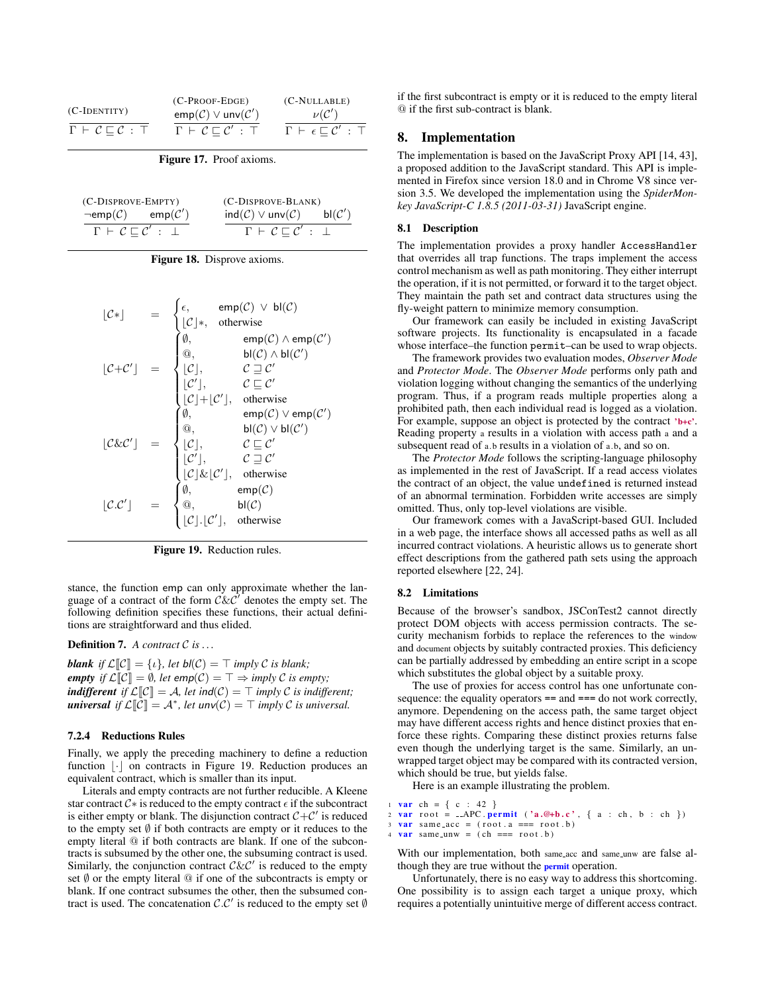|                                      | $(C-PROOF-EDGE)$                          | $(C-NULLABLE)$                                         |
|--------------------------------------|-------------------------------------------|--------------------------------------------------------|
| $(C-IDENTITY)$                       | $emp(\mathcal{C}) \vee unv(\mathcal{C}')$ | $\nu(\mathcal{C}')$                                    |
| $\Gamma \vdash C \sqsubset C : \top$ | $\Gamma \vdash C \sqsubset C'$ : T        | $\Gamma \vdash \epsilon \sqsubset \mathcal{C}' : \top$ |

Figure 17. Proof axioms.

| (C-DISPROVE-EMPTY)                          | (C-DISPROVE-BLANK)                                           |
|---------------------------------------------|--------------------------------------------------------------|
| $\negemp(\mathcal{C})$ emp $(\mathcal{C}')$ | $ind(\mathcal{C}) \vee unv(\mathcal{C})$ bl $(\mathcal{C}')$ |
| $\Gamma \vdash C \sqsubset C' : \bot$       | $\Gamma \vdash C \sqsubset C' : \bot$                        |

|  | Figure 18. Disprove axioms. |  |
|--|-----------------------------|--|
|  |                             |  |

$$
[\mathcal{C}*] = \begin{cases} \epsilon, & \text{emp}(\mathcal{C}) \vee \mathsf{bl}(\mathcal{C}) \\ [\mathcal{C}]* & \text{otherwise} \\ \emptyset, & \text{emp}(\mathcal{C}) \wedge \text{emp}(\mathcal{C}') \\ [\mathcal{C}+\mathcal{C}'] = \begin{cases} \emptyset, & \text{emp}(\mathcal{C}) \wedge \text{emp}(\mathcal{C}') \\ [\mathcal{C}], & \mathcal{C} \supseteq \mathcal{C}' \\ [\mathcal{C}'], & \mathcal{C} \supseteq \mathcal{C}' \\ [\mathcal{C}]+[\mathcal{C}'], & \text{otherwise} \\ [\mathcal{C}]. & \text{otherwise} \\ [\mathcal{C}]. & \mathcal{C} \supseteq \mathcal{C}' \\ [\mathcal{C}], & \mathcal{C} \supseteq \mathcal{C}' \\ [\mathcal{C}'], & \mathcal{C} \supseteq \mathcal{C}' \\ [\mathcal{C}'], & \mathcal{C} \supseteq \mathcal{C}' \\ [\mathcal{C}]. & \mathcal{C} \supseteq \mathcal{C}' \\ [\mathcal{C}]. & \text{otherwise} \\ [\mathcal{C}.\mathcal{C}'] = \begin{cases} \emptyset, & \text{emp}(\mathcal{C}) \\ [\mathcal{C}], & \mathcal{C} \supseteq \mathcal{C}' \\ [\mathcal{C}]. & \text{otherwise} \\ [\mathcal{C}]. & [\mathcal{C}'], & \text{otherwise} \end{cases} \end{cases}
$$



stance, the function emp can only approximate whether the language of a contract of the form  $\tilde{\mathcal{C}} \mathcal{K} \tilde{\mathcal{C}}'$  denotes the empty set. The following definition specifies these functions, their actual definitions are straightforward and thus elided.

#### Definition 7. *A contract* C *is . . .*

*blank if*  $\mathcal{L}[[\mathcal{C}]] = \{ \iota \}$ , *let*  $\mathsf{bl}(\mathcal{C}) = \top$  *imply*  $\mathcal{C}$  *is blank; empty if*  $\mathcal{L}[\mathcal{C}] = \emptyset$ , *let*  $\text{emp}(\mathcal{C}) = \top \Rightarrow \text{imply } \mathcal{C}$  *is empty*; *indifferent if*  $\mathcal{L}[[C]] = \mathcal{A}$ , *let ind*( $\mathcal{C}$ ) =  $\top$  *imply*  $\mathcal{C}$  *is indifferent; universal if*  $\mathcal{L}[\mathcal{C}] = \mathcal{A}^*$ , let  $unv(\mathcal{C}) = \top$  *imply*  $\mathcal{C}$  *is universal.* 

## 7.2.4 Reductions Rules

Finally, we apply the preceding machinery to define a reduction function  $\lfloor \cdot \rfloor$  on contracts in Figure 19. Reduction produces an equivalent contract, which is smaller than its input.

Literals and empty contracts are not further reducible. A Kleene star contract  $C*$  is reduced to the empty contract  $\epsilon$  if the subcontract is either empty or blank. The disjunction contract  $C + C'$  is reduced to the empty set  $\emptyset$  if both contracts are empty or it reduces to the empty literal @ if both contracts are blank. If one of the subcontracts is subsumed by the other one, the subsuming contract is used. Similarly, the conjunction contract  $C\&C'$  is reduced to the empty set  $\emptyset$  or the empty literal  $\emptyset$  if one of the subcontracts is empty or blank. If one contract subsumes the other, then the subsumed contract is used. The concatenation  $\mathcal{C}.\mathcal{C}'$  is reduced to the empty set  $\emptyset$ 

if the first subcontract is empty or it is reduced to the empty literal @ if the first sub-contract is blank.

# 8. Implementation

The implementation is based on the JavaScript Proxy API [14, 43], a proposed addition to the JavaScript standard. This API is implemented in Firefox since version 18.0 and in Chrome V8 since version 3.5. We developed the implementation using the *SpiderMonkey JavaScript-C 1.8.5 (2011-03-31)* JavaScript engine.

# 8.1 Description

The implementation provides a proxy handler AccessHandler that overrides all trap functions. The traps implement the access control mechanism as well as path monitoring. They either interrupt the operation, if it is not permitted, or forward it to the target object. They maintain the path set and contract data structures using the fly-weight pattern to minimize memory consumption.

Our framework can easily be included in existing JavaScript software projects. Its functionality is encapsulated in a facade whose interface–the function permit–can be used to wrap objects.

The framework provides two evaluation modes, *Observer Mode* and *Protector Mode*. The *Observer Mode* performs only path and violation logging without changing the semantics of the underlying program. Thus, if a program reads multiple properties along a prohibited path, then each individual read is logged as a violation. For example, suppose an object is protected by the contract 'b+c'. Reading property a results in a violation with access path a and a subsequent read of a. b results in a violation of a.b, and so on.

The *Protector Mode* follows the scripting-language philosophy as implemented in the rest of JavaScript. If a read access violates the contract of an object, the value undefined is returned instead of an abnormal termination. Forbidden write accesses are simply omitted. Thus, only top-level violations are visible.

Our framework comes with a JavaScript-based GUI. Included in a web page, the interface shows all accessed paths as well as all incurred contract violations. A heuristic allows us to generate short effect descriptions from the gathered path sets using the approach reported elsewhere [22, 24].

# 8.2 Limitations

Because of the browser's sandbox, JSConTest2 cannot directly protect DOM objects with access permission contracts. The security mechanism forbids to replace the references to the window and document objects by suitably contracted proxies. This deficiency can be partially addressed by embedding an entire script in a scope which substitutes the global object by a suitable proxy.

The use of proxies for access control has one unfortunate consequence: the equality operators == and === do not work correctly, anymore. Dependening on the access path, the same target object may have different access rights and hence distinct proxies that enforce these rights. Comparing these distinct proxies returns false even though the underlying target is the same. Similarly, an unwrapped target object may be compared with its contracted version, which should be true, but yields false.

Here is an example illustrating the problem.

```
1 var ch = { c : 42 }
```

```
var root = APC permit ('a.@+b.c', { a : ch, b : ch })
var same_acc = (root.a == root.b)
```

```
var same_unw = (ch === root .b)
```
With our implementation, both same\_acc and same\_unw are false although they are true without the permit operation.

Unfortunately, there is no easy way to address this shortcoming. One possibility is to assign each target a unique proxy, which requires a potentially unintuitive merge of different access contract.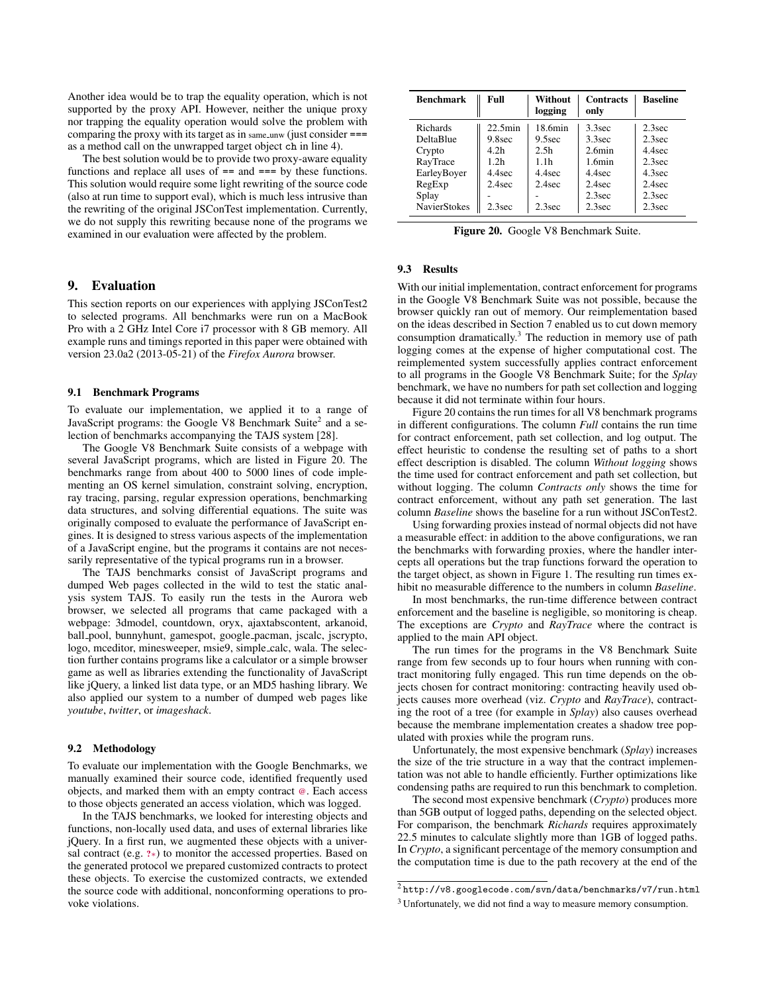Another idea would be to trap the equality operation, which is not supported by the proxy API. However, neither the unique proxy nor trapping the equality operation would solve the problem with comparing the proxy with its target as in same unw (just consider === as a method call on the unwrapped target object ch in line 4).

The best solution would be to provide two proxy-aware equality functions and replace all uses of == and === by these functions. This solution would require some light rewriting of the source code (also at run time to support eval), which is much less intrusive than the rewriting of the original JSConTest implementation. Currently, we do not supply this rewriting because none of the programs we examined in our evaluation were affected by the problem.

# 9. Evaluation

This section reports on our experiences with applying JSConTest2 to selected programs. All benchmarks were run on a MacBook Pro with a 2 GHz Intel Core i7 processor with 8 GB memory. All example runs and timings reported in this paper were obtained with version 23.0a2 (2013-05-21) of the *Firefox Aurora* browser.

#### 9.1 Benchmark Programs

To evaluate our implementation, we applied it to a range of JavaScript programs: the Google V8 Benchmark Suite<sup>2</sup> and a selection of benchmarks accompanying the TAJS system [28].

The Google V8 Benchmark Suite consists of a webpage with several JavaScript programs, which are listed in Figure 20. The benchmarks range from about 400 to 5000 lines of code implementing an OS kernel simulation, constraint solving, encryption, ray tracing, parsing, regular expression operations, benchmarking data structures, and solving differential equations. The suite was originally composed to evaluate the performance of JavaScript engines. It is designed to stress various aspects of the implementation of a JavaScript engine, but the programs it contains are not necessarily representative of the typical programs run in a browser.

The TAJS benchmarks consist of JavaScript programs and dumped Web pages collected in the wild to test the static analysis system TAJS. To easily run the tests in the Aurora web browser, we selected all programs that came packaged with a webpage: 3dmodel, countdown, oryx, ajaxtabscontent, arkanoid, ball pool, bunnyhunt, gamespot, google pacman, jscalc, jscrypto, logo, mceditor, minesweeper, msie9, simple calc, wala. The selection further contains programs like a calculator or a simple browser game as well as libraries extending the functionality of JavaScript like jQuery, a linked list data type, or an MD5 hashing library. We also applied our system to a number of dumped web pages like *youtube*, *twitter*, or *imageshack*.

# 9.2 Methodology

To evaluate our implementation with the Google Benchmarks, we manually examined their source code, identified frequently used objects, and marked them with an empty contract @. Each access to those objects generated an access violation, which was logged.

In the TAJS benchmarks, we looked for interesting objects and functions, non-locally used data, and uses of external libraries like jQuery. In a first run, we augmented these objects with a universal contract (e.g. ?∗) to monitor the accessed properties. Based on the generated protocol we prepared customized contracts to protect these objects. To exercise the customized contracts, we extended the source code with additional, nonconforming operations to provoke violations.

| <b>Benchmark</b> | Full             | Without<br>logging | <b>Contracts</b><br>only | <b>Baseline</b> |
|------------------|------------------|--------------------|--------------------------|-----------------|
| Richards         | $22.5$ min       | 18.6min            | 3.3 <sub>sec</sub>       | $2.3$ sec       |
| DeltaBlue        | 9.8sec           | 9.5 <sub>sec</sub> | 3.3 <sub>sec</sub>       | 2.3sec          |
| Crypto           | 4.2h             | 2.5 <sub>h</sub>   | $2.6$ min                | 4 4 sec         |
| RayTrace         | 1.2 <sub>h</sub> | 1.1h               | $1.6$ min                | 2.3sec          |
| EarleyBoyer      | 4.4sec           | 4 4sec             | 4 4sec                   | $4.3$ sec       |
| RegExp           | $2.4$ sec        | $2.4$ sec          | $2.4$ sec                | $2.4$ sec       |
| Splay            |                  |                    | 2.3sec                   | 2.3sec          |
| NavierStokes     | 2.3sec           | 2.3sec             | 2.3sec                   | 2.3sec          |

Figure 20. Google V8 Benchmark Suite.

## 9.3 Results

With our initial implementation, contract enforcement for programs in the Google V8 Benchmark Suite was not possible, because the browser quickly ran out of memory. Our reimplementation based on the ideas described in Section 7 enabled us to cut down memory consumption dramatically. $3$  The reduction in memory use of path logging comes at the expense of higher computational cost. The reimplemented system successfully applies contract enforcement to all programs in the Google V8 Benchmark Suite; for the *Splay* benchmark, we have no numbers for path set collection and logging because it did not terminate within four hours.

Figure 20 contains the run times for all V8 benchmark programs in different configurations. The column *Full* contains the run time for contract enforcement, path set collection, and log output. The effect heuristic to condense the resulting set of paths to a short effect description is disabled. The column *Without logging* shows the time used for contract enforcement and path set collection, but without logging. The column *Contracts only* shows the time for contract enforcement, without any path set generation. The last column *Baseline* shows the baseline for a run without JSConTest2.

Using forwarding proxies instead of normal objects did not have a measurable effect: in addition to the above configurations, we ran the benchmarks with forwarding proxies, where the handler intercepts all operations but the trap functions forward the operation to the target object, as shown in Figure 1. The resulting run times exhibit no measurable difference to the numbers in column *Baseline*.

In most benchmarks, the run-time difference between contract enforcement and the baseline is negligible, so monitoring is cheap. The exceptions are *Crypto* and *RayTrace* where the contract is applied to the main API object.

The run times for the programs in the V8 Benchmark Suite range from few seconds up to four hours when running with contract monitoring fully engaged. This run time depends on the objects chosen for contract monitoring: contracting heavily used objects causes more overhead (viz. *Crypto* and *RayTrace*), contracting the root of a tree (for example in *Splay*) also causes overhead because the membrane implementation creates a shadow tree populated with proxies while the program runs.

Unfortunately, the most expensive benchmark (*Splay*) increases the size of the trie structure in a way that the contract implementation was not able to handle efficiently. Further optimizations like condensing paths are required to run this benchmark to completion.

The second most expensive benchmark (*Crypto*) produces more than 5GB output of logged paths, depending on the selected object. For comparison, the benchmark *Richards* requires approximately 22.5 minutes to calculate slightly more than 1GB of logged paths. In *Crypto*, a significant percentage of the memory consumption and the computation time is due to the path recovery at the end of the

 $\sqrt[2]{\mathrm{http://v8.googlecode.com/svn/data/benchmarks/v7/run.html}}$ 

<sup>3</sup> Unfortunately, we did not find a way to measure memory consumption.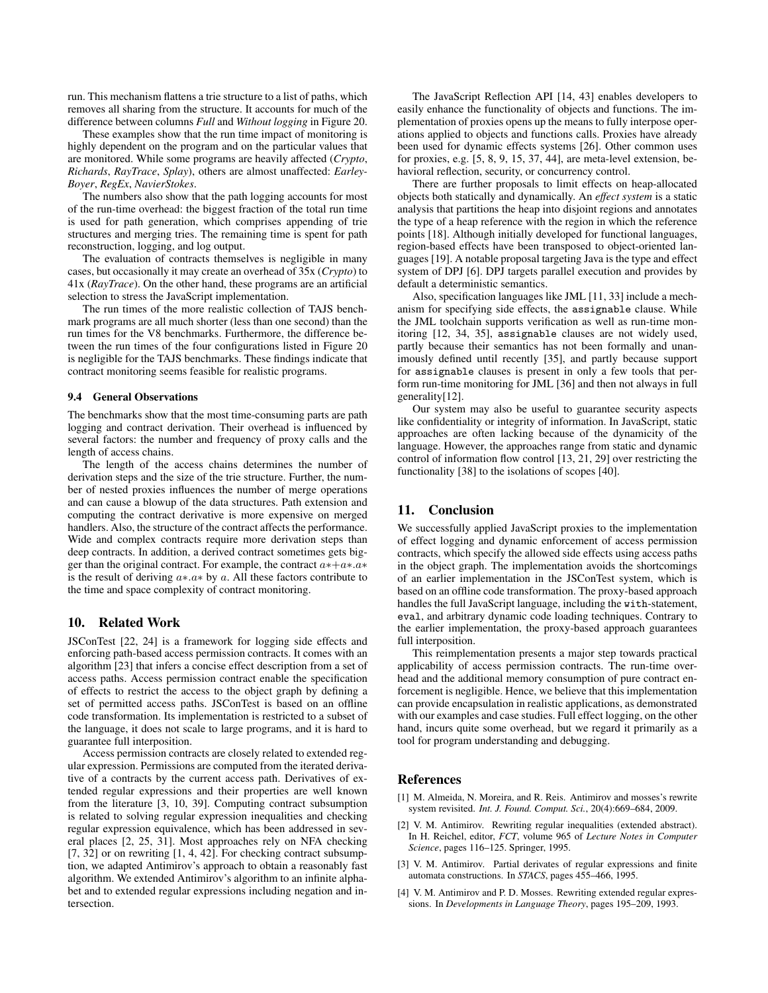run. This mechanism flattens a trie structure to a list of paths, which removes all sharing from the structure. It accounts for much of the difference between columns *Full* and *Without logging* in Figure 20.

These examples show that the run time impact of monitoring is highly dependent on the program and on the particular values that are monitored. While some programs are heavily affected (*Crypto*, *Richards*, *RayTrace*, *Splay*), others are almost unaffected: *Earley-Boyer*, *RegEx*, *NavierStokes*.

The numbers also show that the path logging accounts for most of the run-time overhead: the biggest fraction of the total run time is used for path generation, which comprises appending of trie structures and merging tries. The remaining time is spent for path reconstruction, logging, and log output.

The evaluation of contracts themselves is negligible in many cases, but occasionally it may create an overhead of 35x (*Crypto*) to 41x (*RayTrace*). On the other hand, these programs are an artificial selection to stress the JavaScript implementation.

The run times of the more realistic collection of TAJS benchmark programs are all much shorter (less than one second) than the run times for the V8 benchmarks. Furthermore, the difference between the run times of the four configurations listed in Figure 20 is negligible for the TAJS benchmarks. These findings indicate that contract monitoring seems feasible for realistic programs.

## 9.4 General Observations

The benchmarks show that the most time-consuming parts are path logging and contract derivation. Their overhead is influenced by several factors: the number and frequency of proxy calls and the length of access chains.

The length of the access chains determines the number of derivation steps and the size of the trie structure. Further, the number of nested proxies influences the number of merge operations and can cause a blowup of the data structures. Path extension and computing the contract derivative is more expensive on merged handlers. Also, the structure of the contract affects the performance. Wide and complex contracts require more derivation steps than deep contracts. In addition, a derived contract sometimes gets bigger than the original contract. For example, the contract  $a*+a* a*$ is the result of deriving  $a \cdot a \cdot b$ y a. All these factors contribute to the time and space complexity of contract monitoring.

# 10. Related Work

JSConTest [22, 24] is a framework for logging side effects and enforcing path-based access permission contracts. It comes with an algorithm [23] that infers a concise effect description from a set of access paths. Access permission contract enable the specification of effects to restrict the access to the object graph by defining a set of permitted access paths. JSConTest is based on an offline code transformation. Its implementation is restricted to a subset of the language, it does not scale to large programs, and it is hard to guarantee full interposition.

Access permission contracts are closely related to extended regular expression. Permissions are computed from the iterated derivative of a contracts by the current access path. Derivatives of extended regular expressions and their properties are well known from the literature [3, 10, 39]. Computing contract subsumption is related to solving regular expression inequalities and checking regular expression equivalence, which has been addressed in several places [2, 25, 31]. Most approaches rely on NFA checking  $[7, 32]$  or on rewriting  $[1, 4, 42]$ . For checking contract subsumption, we adapted Antimirov's approach to obtain a reasonably fast algorithm. We extended Antimirov's algorithm to an infinite alphabet and to extended regular expressions including negation and intersection.

The JavaScript Reflection API [14, 43] enables developers to easily enhance the functionality of objects and functions. The implementation of proxies opens up the means to fully interpose operations applied to objects and functions calls. Proxies have already been used for dynamic effects systems [26]. Other common uses for proxies, e.g. [5, 8, 9, 15, 37, 44], are meta-level extension, behavioral reflection, security, or concurrency control.

There are further proposals to limit effects on heap-allocated objects both statically and dynamically. An *effect system* is a static analysis that partitions the heap into disjoint regions and annotates the type of a heap reference with the region in which the reference points [18]. Although initially developed for functional languages, region-based effects have been transposed to object-oriented languages [19]. A notable proposal targeting Java is the type and effect system of DPJ [6]. DPJ targets parallel execution and provides by default a deterministic semantics.

Also, specification languages like JML [11, 33] include a mechanism for specifying side effects, the assignable clause. While the JML toolchain supports verification as well as run-time monitoring [12, 34, 35], assignable clauses are not widely used, partly because their semantics has not been formally and unanimously defined until recently [35], and partly because support for assignable clauses is present in only a few tools that perform run-time monitoring for JML [36] and then not always in full generality[12].

Our system may also be useful to guarantee security aspects like confidentiality or integrity of information. In JavaScript, static approaches are often lacking because of the dynamicity of the language. However, the approaches range from static and dynamic control of information flow control [13, 21, 29] over restricting the functionality [38] to the isolations of scopes [40].

# 11. Conclusion

We successfully applied JavaScript proxies to the implementation of effect logging and dynamic enforcement of access permission contracts, which specify the allowed side effects using access paths in the object graph. The implementation avoids the shortcomings of an earlier implementation in the JSConTest system, which is based on an offline code transformation. The proxy-based approach handles the full JavaScript language, including the with-statement, eval, and arbitrary dynamic code loading techniques. Contrary to the earlier implementation, the proxy-based approach guarantees full interposition.

This reimplementation presents a major step towards practical applicability of access permission contracts. The run-time overhead and the additional memory consumption of pure contract enforcement is negligible. Hence, we believe that this implementation can provide encapsulation in realistic applications, as demonstrated with our examples and case studies. Full effect logging, on the other hand, incurs quite some overhead, but we regard it primarily as a tool for program understanding and debugging.

# References

- [1] M. Almeida, N. Moreira, and R. Reis. Antimirov and mosses's rewrite system revisited. *Int. J. Found. Comput. Sci.*, 20(4):669–684, 2009.
- [2] V. M. Antimirov. Rewriting regular inequalities (extended abstract). In H. Reichel, editor, *FCT*, volume 965 of *Lecture Notes in Computer Science*, pages 116–125. Springer, 1995.
- [3] V. M. Antimirov. Partial derivates of regular expressions and finite automata constructions. In *STACS*, pages 455–466, 1995.
- [4] V. M. Antimirov and P. D. Mosses. Rewriting extended regular expressions. In *Developments in Language Theory*, pages 195–209, 1993.